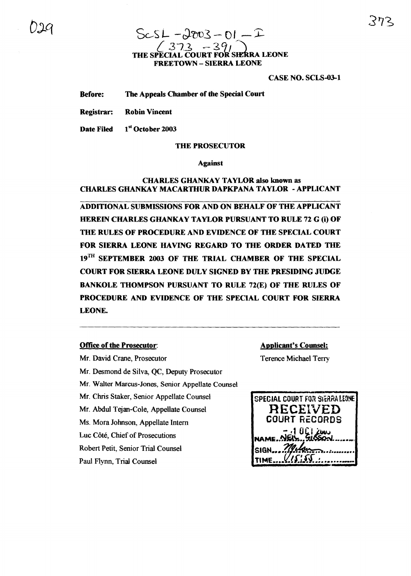### $ScS L - J2003 - 01 - I$ <br>(373 - 391)  $(373 - 39)$ THE SPECIAL COURT FOR sIEkRA LEONE FREETOWN - SIERRA LEONE

CASE NO. SCLS-03-1

Before: The Appeals Chamber of the Special Court

Registrar: Robin Vincent

Date Filed 1st October 2003

#### THE PROSECUTOR

#### Against

#### CHARLES GHANKAY TAYLOR also known as CHARLES GHANKAY MACARTHUR DAPKPANA TAYLOR - APPLICANT

ADDITIONAL SUBMISSIONS FOR AND ON BEHALF OF THE APPLICANT HEREIN CHARLES GHANKAY TAYLOR PURSUANT TO RULE 72 G (i) OF THE RULES OF PROCEDURE AND EVIDENCE OF THE SPECIAL COURT FOR SIERRA LEONE HAVING REGARD TO THE ORDER DATED THE 19<sup>TH</sup> SEPTEMBER 2003 OF THE TRIAL CHAMBER OF THE SPECIAL COURT FOR SIERRA LEONE DULY SIGNED BY THE PRESIDING JUDGE BANKOLE THOMPSON PURSUANT TO RULE 72(E) OF THE RULES OF PROCEDURE AND EVIDENCE OF THE SPECIAL COURT FOR SIERRA LEONE.

#### Office of the Prosecutor:

Mr. David Crane, Prosecutor Mr. Desmond de Silva, QC, Deputy Prosecutor Mr. Walter Marcus-Jones, Senior Appellate Counsel Mr. Chris Staker, Senior Appellate Counsel Mr. Abdul Tejan-Cole, Appellate Counsel Ms. Mora Johnson, Appellate Intern Luc Côté, Chief of Prosecutions Robert Petit, Senior Trial Counsel Paul Flynn, Trial Counsel

Applicant's Counsel:

Terence Michael Terry

| SPECIAL COURT FOR SIERRALEONE   |
|---------------------------------|
| RECEIVED                        |
| <b>COURT RECORDS</b>            |
| NAME NEW GISSON                 |
|                                 |
| Melger<br>SIGN                  |
| $U$ <i>s</i> : 5<br><b>TIME</b> |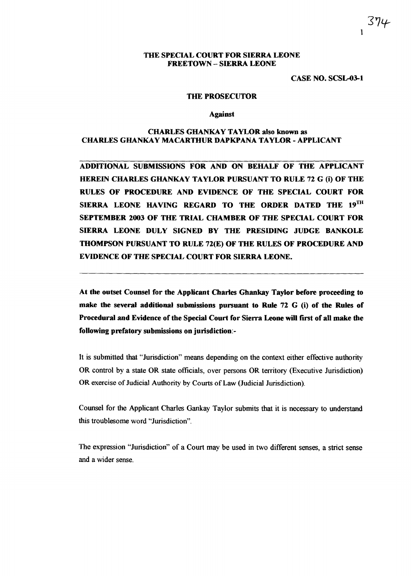#### THE SPECIAL COURT FOR SIERRA LEONE FREETOWN - SIERRA LEONE

CASE NO. SCSL-03-1

1

5'|4

#### THE PROSECUTOR

Against

#### CHARLES GHANKAY TAYLOR also known as CHARLES GHANKAY MACARTHUR DAPKPANA TAYLOR - APPLICANT

ADDITIONAL SUBMISSIONS FOR AND ON BEHALF OF THE APPLICANT HEREIN CHARLES GHANKAY TAYLOR PURSUANT TO RULE 72 G (i) OF THE RULES OF PROCEDURE AND EVIDENCE OF THE SPECIAL COURT FOR SIERRA LEONE HAVING REGARD TO THE ORDER DATED THE  $19^{TH}$ SEPTEMBER 2003 OF THE TRIAL CHAMBER OF THE SPECIAL COURT FOR SIERRA LEONE DULY SIGNED BY THE PRESIDING JUDGE BANKOLE THOMPSON PURSUANT TO RULE 72(E) OF THE RULES OF PROCEDURE AND EVIDENCE OF THE SPECIAL COURT FOR SIERRA LEONE.

At the outset Counsel for the Applicant Charles Ghankay Taylor before proceeding to make the several additional submissions pursuant to Rule 72 G (i) of the Rules of Procedural and Evidence of the Special Court for Sierra Leone will first of all make the following prefatory submissions on jurisdiction:-

It is submitted that "Jurisdiction" means depending on the context either effective authority OR control by a state OR state officials, over persons OR territory (Executive Jurisdiction) OR exercise of Judicial Authority by Courts of Law (Judicial Jurisdiction).

Counsel for the Applicant Charles Gankay Taylor submits that it is necessary to understand this troublesome word "Jurisdiction".

The expression "Jurisdiction" of a Court may be used in two different senses, a strict sense and a wider sense.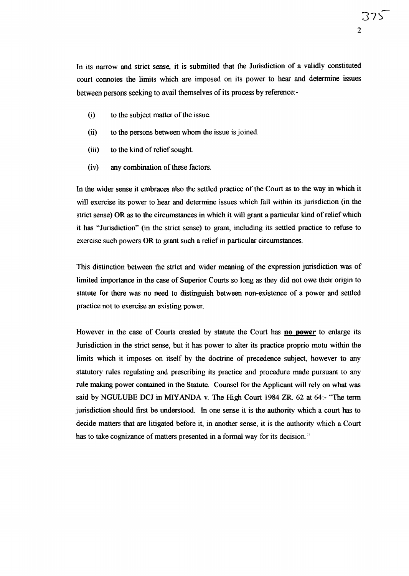In its narrow and strict sense, it is submitted that the Jurisdiction of a validly constituted court connotes the limits which are imposed on its power to hear and determine issues between persons seeking to avail themselves of its process by reference:-

- $(i)$  to the subject matter of the issue.
- (ii) to the persons between whom the issue is joined.
- (iii) to the kind of relief sought.
- $(iv)$  any combination of these factors.

In the wider sense it embraces also the settled practice of the Court as to the way in which it will exercise its power to hear and determine issues which fall within its jurisdiction (in the strict sense) OR as to the circumstances in which it will grant a particular kind ofrelief which it has "Jurisdiction" (in the strict sense) to grant, including its settled practice to refuse to exercise such powers OR to grant such a relief in particular circumstances.

This distinction between the strict and wider meaning of the expression jurisdiction was of limited importance in the case of Superior Courts so long as they did not owe their origin to statute for there was no need to distinguish between non-existence of a power and settled practice not to exercise an existing power.

However in the case of Courts created by statute the Court has **no power** to enlarge its Jurisdiction in the strict sense, but it has power to alter its practice proprio motu within the limits which it imposes on itself by the doctrine of precedence subject, however to any statutory rules regulating and prescribing its practice and procedure made pursuant to any rule making power contained in the Statute. Counsel for the Applicant will rely on what was said by NGULUBE DCJ in MIYANDA v. The High Court 1984 ZR. 62 at 64:- "The term jurisdiction should first be understood. In one sense it is the authority which a court has to decide matters that are litigated before it, in another sense, it is the authority which a Court has to take cognizance of matters presented in a formal way for its decision."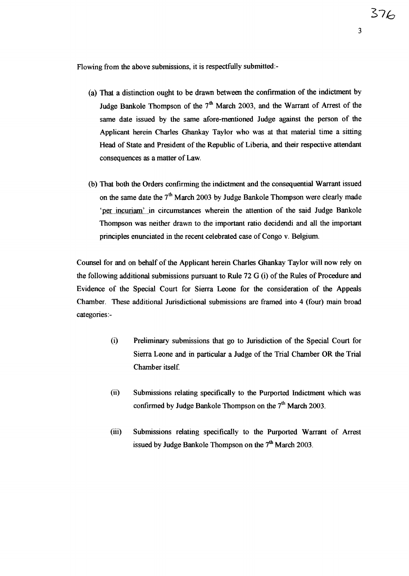Flowing from the above submissions, it is respectfully submitted:-

- (a) That a distinction ought to be drawn between the confIrmation of the indictment by Judge Bankole Thompson of the  $7<sup>th</sup>$  March 2003, and the Warrant of Arrest of the same date issued by the same afore-mentioned Judge against the person of the Applicant herein Charles Ghankay Taylor who was at that material time a sitting Head of State and President of the Republic of Liberia, and their respective attendant consequences as a matter of Law.
- (b) That both the Orders confIrming the indictment and the consequential Warrant issued on the same date the  $7<sup>th</sup>$  March 2003 by Judge Bankole Thompson were clearly made 'per incuriam' in circumstances wherein the attention of the said Judge Bankole Thompson was neither drawn to the important ratio decidendi and all the important principles enunciated in the recent celebrated case of Congo v. Belgium.

Counsel for and on behalf of the Applicant herein Charles Ghankay Taylor will now rely on the following additional submissions pursuant to Rule 72 G  $(i)$  of the Rules of Procedure and Evidence of the Special Court for Sierra Leone for the consideration of the Appeals Chamber. These additional Jurisdictional submissions are framed into 4 (four) main broad categories:-

- (i) Preliminary submissions that go to Jurisdiction of the Special Court for Sierra Leone and in particular a Judge of the Trial Chamber OR the Trial Chamber itself
- (ii) Submissions relating specifically to the Purported Indictment which was confirmed by Judge Bankole Thompson on the  $7<sup>th</sup>$  March 2003.
- (iii) Submissions relating specifically to the Purported Warrant of Arrest issued by Judge Bankole Thompson on the  $7<sup>th</sup>$  March 2003.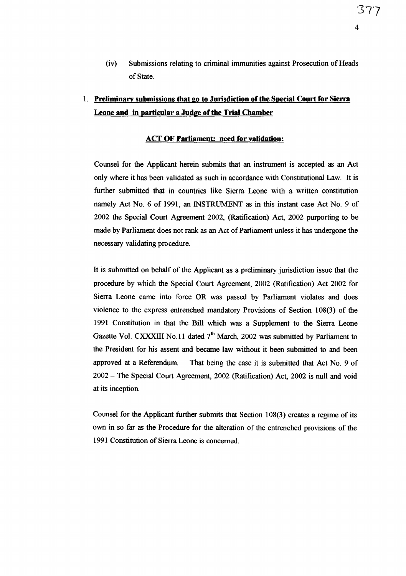(iv) Submissions relating to criminal immunities against Prosecution of Heads of State.

### 1. Preliminary submissions that go to Jurisdiction of the Special Court for Sierra Leone and in particular a Judge of the Trial Chamber

#### ACT OF Parliament: need for validation:

Counsel for the Applicant herein submits that an instrument is accepted as an Act only where it has been validated as such in accordance with Constitutional Law. It is further submitted that in countries like Sierra Leone with a written constitution namely Act No.6 of 1991, an INSTRUMENT as in this instant case Act No.9 of 2002 the Special Court Agreement 2002, (Ratification) Act, 2002 purporting to be made by Parliament does not rank as an Act of Parliament unless it has undergone the necessary validating procedure.

It is submitted on behalf of the Applicant as a preliminary jurisdiction issue that the procedure by which the Special Court Agreement, 2002 (Ratification) Act 2002 for Sierra Leone came into force OR was passed by Parliament violates and does violence to the express entrenched mandatory Provisions of Section 108(3) of the 1991 Constitution in that the Bill which was a Supplement to the Sierra Leone Gazette Vol. CXXXIII No. 11 dated  $7<sup>th</sup>$  March, 2002 was submitted by Parliament to the President for his assent and became law without it been submitted to and been approved at a Referendum. That being the case it is submitted that Act No. 9 of 2002 - The Special Court Agreement, 2002 (Ratification) Act, 2002 is null and void at its inception

Counsel for the Applicant further submits that Section 108(3) creates a regime of its own in so far as the Procedure for the alteration of the entrenched provisions of the 1991 Constitution of Sierra Leone is concerned.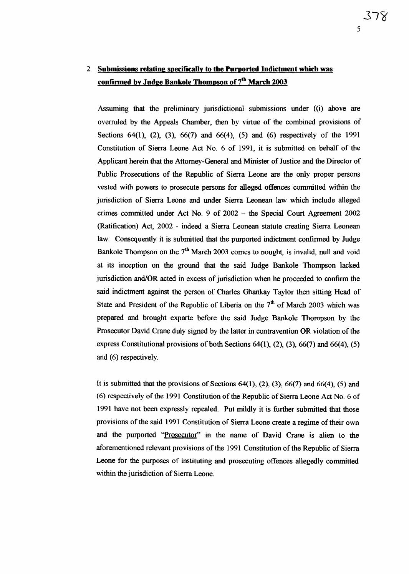### 2. Submissions relating specifically to the Purported Indictment which was <u>confirmed by Judge Bankole Thompson of  $7^{\rm th}$  March 2003</u>

Assuming that the preliminary jurisdictional submissions under  $((i)$  above are overruled by the Appeals Chamber, then by virtue of the combined provisions of Sections 64(1), (2), (3), 66(7) and 66(4), (5) and (6) respectively of the 1991 Constitution of Sierra Leone Act No.6 of 1991, it is submitted on behalf of the Applicant herein that the Attorney-General and Minister of Justice and the Director of Public Prosecutions of the Republic of Sierra Leone are the only proper persons vested with powers to prosecute persons for alleged offences committed within the jurisdiction of Sierra Leone and under Sierra Leonean law which include alleged crimes committed under Act No.9 of 2002 - the Special Court Agreement 2002 (Ratification) Act, 2002 - indeed a Sierra Leonean statute creating Sierra Leonean law. Consequently it is submitted that the purported indictment confirmed by Judge Bankole Thompson on the  $7<sup>th</sup>$  March 2003 comes to nought, is invalid, null and void at its inception on the ground that the said Judge Bankole Thompson lacked jurisdiction and/OR acted in excess of jurisdiction when he proceeded to confirm the said indictment against the person of Charles Ghankay Taylor then sitting Head of State and President of the Republic of Liberia on the  $7<sup>th</sup>$  of March 2003 which was prepared and brought exparte before the said Judge Bankole Thompson by the Prosecutor David Crane duly signed by the latter in contravention OR violation of the express Constitutional provisions of both Sections  $64(1)$ ,  $(2)$ ,  $(3)$ ,  $66(7)$  and  $66(4)$ ,  $(5)$ and (6) respectively.

It is submitted that the provisions of Sections  $64(1)$ ,  $(2)$ ,  $(3)$ ,  $66(7)$  and  $66(4)$ ,  $(5)$  and (6) respectively of the 1991 Constitution of the Republic of Sierra Leone Act No. 6 of 1991 have not been expressly repealed. Put mildly it is further submitted that those provisions ofthe said 1991 Constitution of Sierra Leone create a regime oftheir own and the purported "Prosecutor" in the name of David Crane is alien to the aforementioned relevant provisions ofthe 1991 Constitution ofthe Republic of Sierra Leone for the purposes of instituting and prosecuting offences allegedly committed within the jurisdiction of Sierra Leone.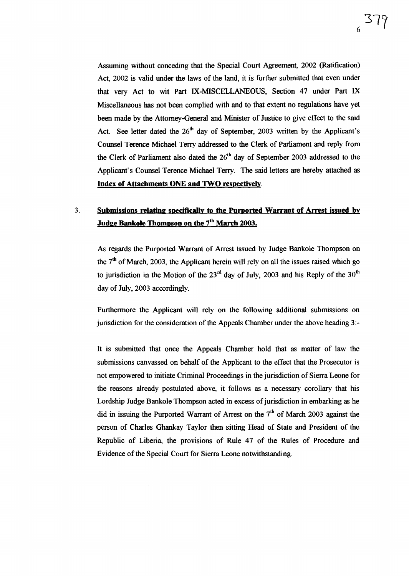Assuming without conceding that the Special Court Agreement, 2002 (Ratification) Act, 2002 is valid under the laws of the land, it is further submitted that even under that very Act to wit Part IX-MISCELLANEOUS, Section 47 under Part IX Miscellaneous has not been complied with and to that extent no regulations have yet been made by the Attorney-General and Minister of Justice to give effect to the said Act. See letter dated the  $26<sup>th</sup>$  day of September, 2003 written by the Applicant's Counsel Terence Michael Terry addressed to the Clerk of Parliament and reply from the Clerk of Parliament also dated the  $26<sup>th</sup>$  day of September 2003 addressed to the Applicant's Counsel Terence Michael Terry. The said letters are hereby attached as Index of Attachments ONE and TWO respectively.

## 3. Submissions relating specifically to the Purported Warrant of Arrest issued by Judge Bankole Thompson on the 7<sup>th</sup> March 2003.

As regards the Purported Warrant of Arrest issued by Judge Bankole Thompson on the  $7<sup>th</sup>$  of March, 2003, the Applicant herein will rely on all the issues raised which go to jurisdiction in the Motion of the  $23<sup>rd</sup>$  day of July, 2003 and his Reply of the  $30<sup>th</sup>$ day of July, 2003 accordingly.

Furthermore the Applicant will rely on the following additional submissions on jurisdiction for the consideration of the Appeals Chamber under the above heading  $3$ :-

It is submitted that once the Appeals Chamber hold that as matter of law the submissions canvassed on behalf of the Applicant to the effect that the Prosecutor is not empowered to initiate Criminal Proceedings in the jurisdiction of Sierra Leone for the reasons already postulated above, it follows as a necessary corollary that his Lordship Judge Bankole Thompson acted in excess of jurisdiction in embarking as he did in issuing the Purported Warrant of Arrest on the  $7<sup>th</sup>$  of March 2003 against the person of Charles Ghankay Taylor then sitting Head of State and President of the Republic of Liberia, the provisions of Rule 47 of the Rules of Procedure and Evidence of the Special Court for Sierra Leone notwithstanding.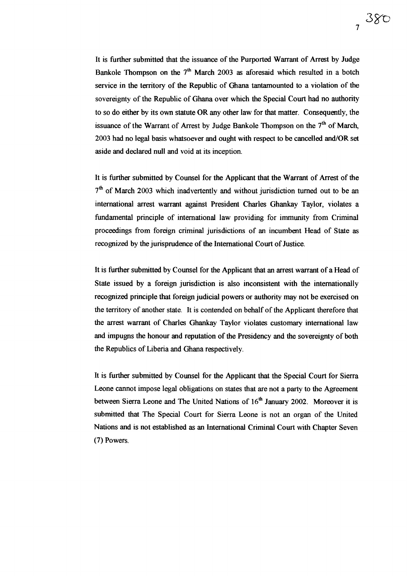It is further submitted that the issuance of the Purported Warrant of Arrest by Judge Bankole Thompson on the  $7<sup>th</sup>$  March 2003 as aforesaid which resulted in a botch service in the territory of the Republic of Ghana tantamounted to a violation of the sovereignty of the Republic of Ghana over which the Special Court had no authority to so do either by its own statute OR any other law for that matter. Consequently, the issuance of the Warrant of Arrest by Judge Bankole Thompson on the  $7<sup>th</sup>$  of March. 2003 had no legal basis whatsoever and ought with respect to be cancelled and/OR set aside and declared null and void at its inception.

It is further submitted by Counsel for the Applicant that the Warrant of Arrest of the  $7<sup>th</sup>$  of March 2003 which inadvertently and without jurisdiction turned out to be an international arrest warrant against President Charles Ghankay Taylor, violates a fundamental principle of international law providing for immunity from Criminal proceedings from foreign criminal jurisdictions of an incumbent Head of State as recognized by the jurisprudence of the International Court of Justice.

It is further submitted by Counsel for the Applicant that an arrest warrant of a Head of State issued by a foreign jurisdiction is also inconsistent with the internationally recognized principle that foreign judicial powers or authority may not be exercised on the territory of another state. It is contended on behalf of the Applicant therefore that the arrest warrant of Charles Ghankay Taylor violates customary international law and impugns the honour and reputation of the Presidency and the sovereignty of both the Republics of Liberia and Ghana respectively.

It is further submitted by Counsel for the Applicant that the Special Court for Sierra Leone cannot impose legal obligations on states that are not a party to the Agreement between Sierra Leone and The United Nations of  $16<sup>th</sup>$  January 2002. Moreover it is submitted that The Special Court for Sierra Leone is not an organ of the United Nations and is not established as an International Criminal Court with Chapter Seven (7) Powers.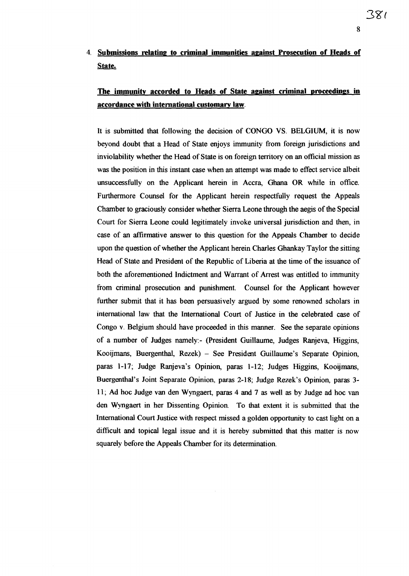## 4. Submissions relating to criminal immunities against Prosecution of Heads of State.

## The immunity accorded to Heads of State against criminal proceedings in accordance with international customary law.

It is submitted that following the decision of CONGO VS. BELGIUM, it is now beyond doubt that a Head of State enjoys immunity from foreign jurisdictions and inviolability whether the Head of State is on foreign territory on an official mission as was the position in this instant case when an attempt was made to effect service albeit unsuccessfully on the Applicant herein in Accra, Ghana OR while in office. Furthermore Counsel for the Applicant herein respectfully request the Appeals Chamber to graciously consider whether Sierra Leone through the aegis ofthe Special Court for Sierra Leone could legitimately invoke universal jurisdiction and then, in case of an affirmative answer to this question for the Appeals Chamber to decide upon the question of whether the Applicant herein Charles Ghankay Taylor the sitting Head of State and President of the Republic of Liberia at the time of the issuance of both the aforementioned Indictment and Warrant of Arrest was entitled to immunity from criminal prosecution and punishment. Counsel for the Applicant however further submit that it has been persuasively argued by some renowned scholars in international law that the International Court of Justice in the celebrated case of Congo v. Belgium should have proceeded in this manner. See the separate opinions of a number of Judges namely:- (President Guillaume, Judges Ranjeva, Higgins, Kooijmans, Buergenthal, Rezek) - See President Guillaume's Separate Opinion, paras 1-17; Judge Ranjeva's Opinion, paras 1-12; Judges Higgins, Kooijrnans, Buergenthal's Joint Separate Opinion, paras 2-18; Judge Rezek's Opinion, paras 3- 11; Ad hoc Judge van den Wyngaert, paras 4 and 7 as well as by Judge ad hoc van den Wyngaert in her Dissenting Opinion To that extent it is submitted that the International Court Justice with respect missed a golden opportunity to cast light on a difficult and topical legal issue and it is hereby submitted that this matter is now squarely before the Appeals Chamber for its determination.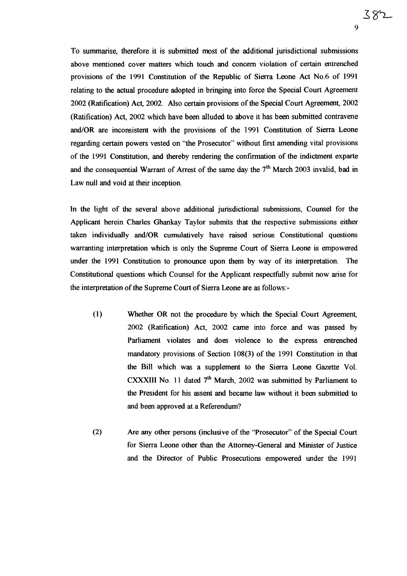To summarise, therefore it is submitted most of the additional jurisdictional submissions above mentioned cover matters which touch and concern violation of certain entrenched provisions of the 1991 Constitution of the Republic of Sierra Leone Act NO.6 of 1991 relating to the actual procedure adopted in bringing into force the Special Court Agreement 2002 (Ratification) Act, 2002. Also certain provisions of the Special Court Agreement, 2002 (Ratification) Act, 2002 which have been alluded to above it has been submitted contravene and/OR are inconsistent with the provisions of the 1991 Constitution of Sierra Leone regarding certain powers vested on "the Prosecutor" without first amending vital provisions of the 1991 Constitution, and thereby rendering the confirmation of the indictment exparte and the consequential Warrant of Arrest of the same day the  $7<sup>th</sup>$  March 2003 invalid, bad in Law null and void at their inception

9

382

In the light of the several above additional jurisdictional submissions, Counsel for the Applicant herein Charles Ghankay Taylor submits that the respective submissions either taken individually and/OR cumulatively have raised serious Constitutional questions warranting interpretation which is only the Supreme Court of Sierra Leone is empowered under the 1991 Constitution to pronounce upon them by way of its interpretation. The Constitutional questions which Counsel for the Applicant respectfully submit now arise for the interpretation of the Supreme Court of Sierra Leone are as follows:-

- (1) Whether OR not the procedure by which the Special Court Agreement, 2002 (Ratification) Act, 2002 came into force and was passed by Parliament violates and does violence to the express entrenched mandatory provisions of Section 108(3) of the 1991 Constitution in that the Bill which was a supplement to the Sierra Leone Gazette Vol. CXXXIII No. 11 dated  $7<sup>th</sup>$  March, 2002 was submitted by Parliament to the President for his assent and became law without it been submitted to and been approved at a Referendum?
- (2) Are any other persons (inclusive of the "Prosecutor" of the Special Court for Sierra Leone other than the Attorney-General and Minister of Justice and the Director of Public Prosecutions empowered under the 1991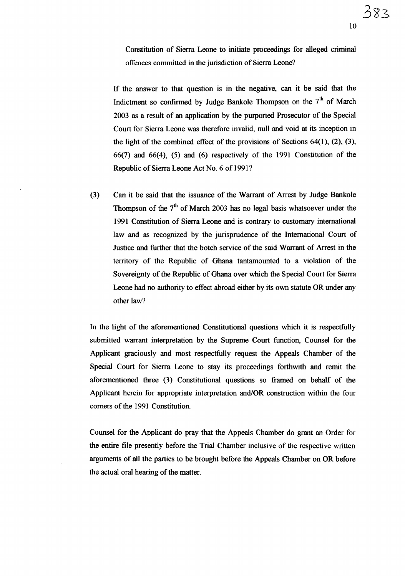Constitution of Sierra Leone to initiate proceedings for alleged criminal offences committed in the jurisdiction of Sierra Leone?

If the answer to that question is in the negative, can it be said that the Indictment so confirmed by Judge Bankole Thompson on the 7<sup>th</sup> of March 2003 as a result of an application by the purported Prosecutor of the Special Court for Sierra Leone was therefore invalid, null and void at its inception in the light of the combined effect of the provisions of Sections  $64(1)$ ,  $(2)$ ,  $(3)$ , 66(7) and 66(4), (5) and (6) respectively of the 1991 Constitution of the Republic of Sierra Leone Act No. 6 of 1991?

(3) Can it be said that the issuance of the Warrant of Arrest by Judge Bankole Thompson of the  $7<sup>th</sup>$  of March 2003 has no legal basis whatsoever under the 1991 Constitution of Sierra Leone and is contrary to customary international law and as recognized by the jurisprudence of the International Court of Justice and further that the botch service of the said Warrant of Arrest in the territory of the Republic of Ghana tantamounted to a violation of the Sovereignty of the Republic of Ghana over which the Special Court for Sierra Leone had no authority to effect abroad either by its own statute OR under any other law?

In the light of the aforementioned Constitutional questions which it is respectfully submitted warrant interpretation by the Supreme Court function, Counsel for the Applicant graciously and most respectfully request the Appeals Chamber of the Special Court for Sierra Leone to stay its proceedings forthwith and remit the aforementioned three (3) Constitutional questions so framed on behalf of the Applicant herein for appropriate interpretation and/OR construction within the four corners of the 1991 Constitution.

Counsel for the Applicant do pray that the Appeals Chamber do grant an Order for the entire file presently before the Trial Chamber inclusive of the respective written arguments of all the parties to be brought before the Appeals Chamber on OR before the actual oral hearing of the matter.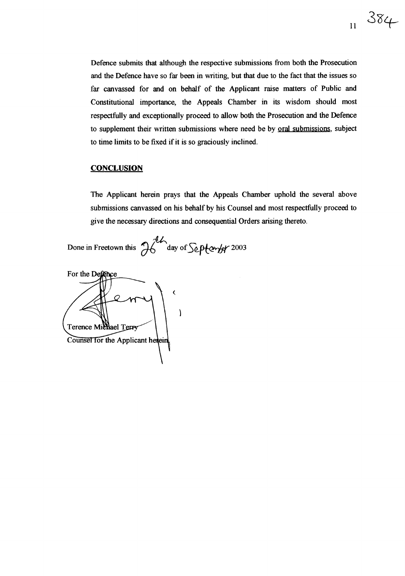Defence submits that although the respective submissions from both the Prosecution and the Defence have so far been in writing, but that due to the fact that the issues so far canvassed for and on behalf of the Applicant raise matters of Public and Constitutional importance, the Appeals Chamber in its wisdom should most respectfully and exceptionally proceed to allow both the Prosecution and the Defence to supplement their written submissions where need be by oral submissions, subject to time limits to be fixed if it is so graciously inclined.

11

 $384$ 

#### **CONCLUSION**

The Applicant herein prays that the Appeals Chamber uphold the several above submissions canvassed on his behalf by his Counsel and most respectfully proceed to give the necessary directions and consequential Orders arising thereto.

Done in Freetown this  $\pi$  day of September 2003

For the Defence ( $\lambda$ Terence Michael Terry Counsel for the Applicant herein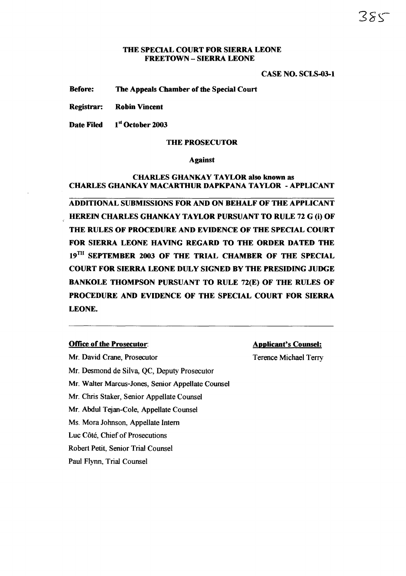#### THE SPECIAL COURT FOR SIERRA LEONE FREETOWN - SIERRA LEONE

#### CASE NO. SCLS-03-1

Before: The Appeals Chamber of the Special Court

Registrar: Robin Vincent

Date Filed 1st October 2003

#### THE PROSECUTOR

#### Against

#### CHARLES GHANKAY TAYLOR also known as CHARLES GHANKAY MACARTHUR DAPKPANA TAYLOR - APPLICANT

ADDITIONAL SUBMISSIONS FOR AND ON BEHALF OF THE APPLICANT HEREIN CHARLES GHANKAY TAYLOR PURSUANT TO RULE 72 G (i) OF THE RULES OF PROCEDURE AND EVIDENCE OF THE SPECIAL COURT FOR SIERRA LEONE HAVING REGARD TO THE ORDER DATED THE 19<sup>TH</sup> SEPTEMBER 2003 OF THE TRIAL CHAMBER OF THE SPECIAL COURT FOR SIERRA LEONE DULY SIGNED BY THE PRESIDING JUDGE BANKOLE THOMPSON PURSUANT TO RULE 72(E) OF THE RULES OF PROCEDURE AND EVIDENCE OF THE SPECIAL COURT FOR SIERRA LEONE.

#### Office of the Prosecutor:

#### Applicant's Counsel:

Mr. David Crane, Prosecutor Mr. Desmond de Silva, QC, Deputy Prosecutor Mr. Walter Marcus-Jones, Senior Appellate Counsel Mr. Chris Staker, Senior Appellate Counsel Mr. Abdul Tejan-Cole, Appellate Counsel Ms. Mora Johnson, Appellate Intern Luc Côté, Chief of Prosecutions Robert Petit, Senior Trial Counsel Paul Flynn, Trial Counsel

Terence Michael Terry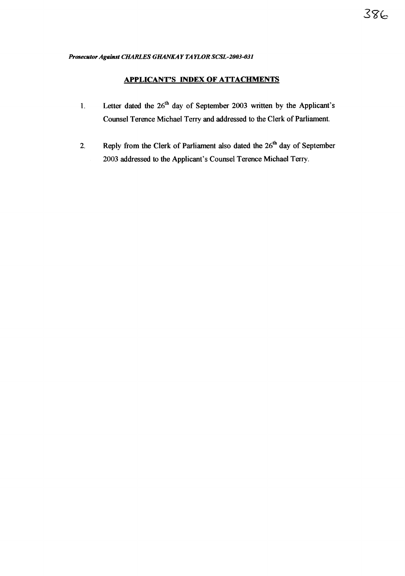#### **APPLICANT'S INDEX OF ATTACHMENTS**

- 1. Letter dated the  $26<sup>th</sup>$  day of September 2003 written by the Applicant's Counsel Terence Michael Terry and addressed to the Clerk of Parliament.
- 2. Reply from the Clerk of Parliament also dated the  $26<sup>th</sup>$  day of September 2003 addressed to the Applicant's Counsel Terence Michael Terry.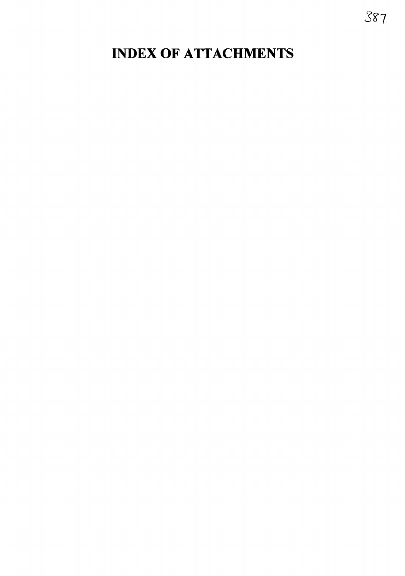## INDEX OF ATTACHMENTS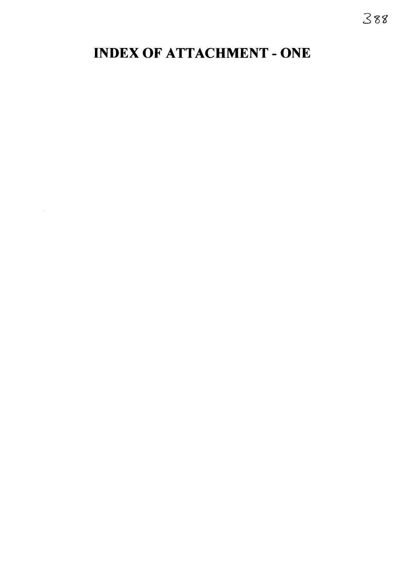## INDEX OF ATTACHMENT - ONE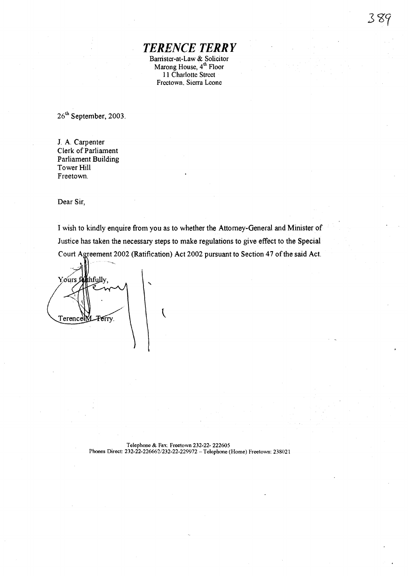# *TERENCE TERRY*

Barrister-at-Law & Solicitor<br>Marong House, 4<sup>th</sup> Floor 11 Charlotte Street Freetown. Sierra Leone

26<sup>th</sup> September, 2003.

J. A. Carpenter Clerk of Parliament Parliament Building Tower Hill Freetown.

Dear Sir,

I wish to kindly enquire from you as to whether the Attorney-General and Minister of Justice has taken the necessary steps to make regulations to give effect to the Special Court Agreement 2002 (Ratification) Act 2002 pursuant to Section 47 of the said Act.

Yours forthfully,  $\mathcal{L}$ TerencelM\_Ferry.

Telephone & Fax: Freetown 232-22- 222605 Phones Direct: 232-22-226662/232-22-229972 - Telephone (Home) Freetown: 238021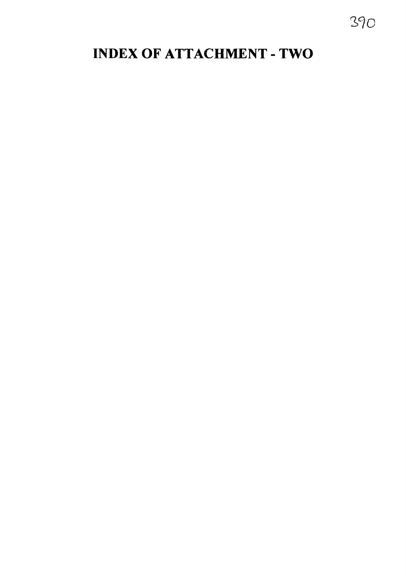## INDEX OF ATTACHMENT - TWO